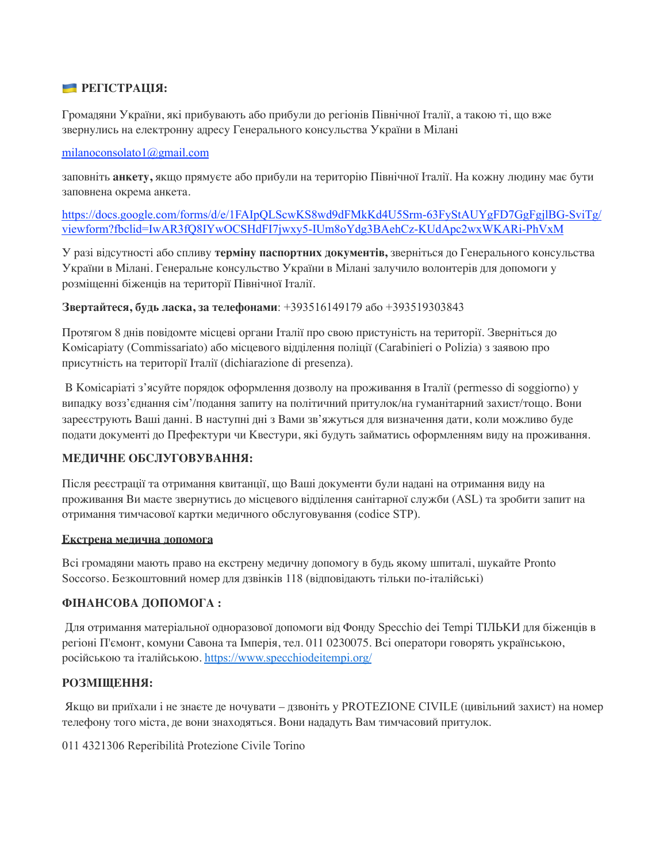#### **РЕГІСТРАЦІЯ:**

Громадяни України, які прибувають або прибули до регіонів Північної Італії, а такою ті, що вже звернулись на електронну адресу Генерального консульства України в Мілані

#### milanoconsolato1@gmail.com

заповніть **анкету,** якщо прямуєте або прибули на територію Північної Італії. На кожну людину має бути заповнена окрема анкета.

https://docs.google.com/forms/d/e/1FAIpQLScwKS8wd9dFMkKd4U5Srm-63FyStAUYgFD7GgFgjlBG-SviTg/ viewform?fbclid=IwAR3fQ8IYwOCSHdFI7jwxy5-IUm8oYdg3BAehCz-KUdApc2wxWKARi-PhVxM

У разі відсутності або спливу **терміну паспортних документів,** зверніться до Генерального консульства України в Мілані. Генеральне консульство України в Мілані залучило волонтерів для допомоги у розміщенні біженців на території Північної Італії.

#### **Звертайтеся, будь ласка, за телефонами**: +393516149179 або +393519303843

Протягом 8 днів повідомте місцеві органи Італії про свою пристуність на території. Зверніться до Комісаріату (Commissariato) або місцевого відділення поліції (Carabinieri o Polizia) з заявою про присутність на території Італії (dichiarazione di presenza).

В Комісаріаті з'ясуйте порядок оформлення дозволу на проживання в Італії (permesso di soggiorno) у випадку возз'єднання сім'/подання запиту на політичний притулок/на гуманітарний захист/тощо. Вони зареєструють Ваші данні. В наступні дні з Вами зв'яжуться для визначення дати, коли можливо буде подати документі до Префектури чи Квестури, які будуть займатись оформленням виду на проживання.

## **МЕДИЧНЕ ОБСЛУГОВУВАННЯ:**

Після реєстрації та отримання квитанції, що Ваші документи були надані на отримання виду на проживання Ви маєте звернутись до місцевого відділення санітарної служби (ASL) та зробити запит на отримання тимчасової картки медичного обслуговування (codice STP).

#### **Екстрена медична допомога**

Всі громадяни мають право на екстрену медичну допомогу в будь якому шпиталі, шукайте Pronto Soccorso. Безкоштовний номер для дзвінків 118 (відповідають тільки по-італійські)

#### **ФІНАНСОВА ДОПОМОГА :**

Для отримання матеріальної одноразової допомоги від Фонду Specchio dei Tempi ТІЛЬКИ для біженців в регіоні П'ємонт, комуни Савона та Імперія, тел. 011 0230075. Всі оператори говорять українською, російською та італійською. https://www.specchiodeitempi.org/

## **РОЗМІЩЕННЯ:**

Якщо ви приїхали і не знаєте де ночувати – дзвоніть у PROTEZIONE CIVILE (цивільний захист) на номер телефону того міста, де вони знаходяться. Вони нададуть Вам тимчасовий притулок.

011 4321306 Reperibilità Protezione Civile Torino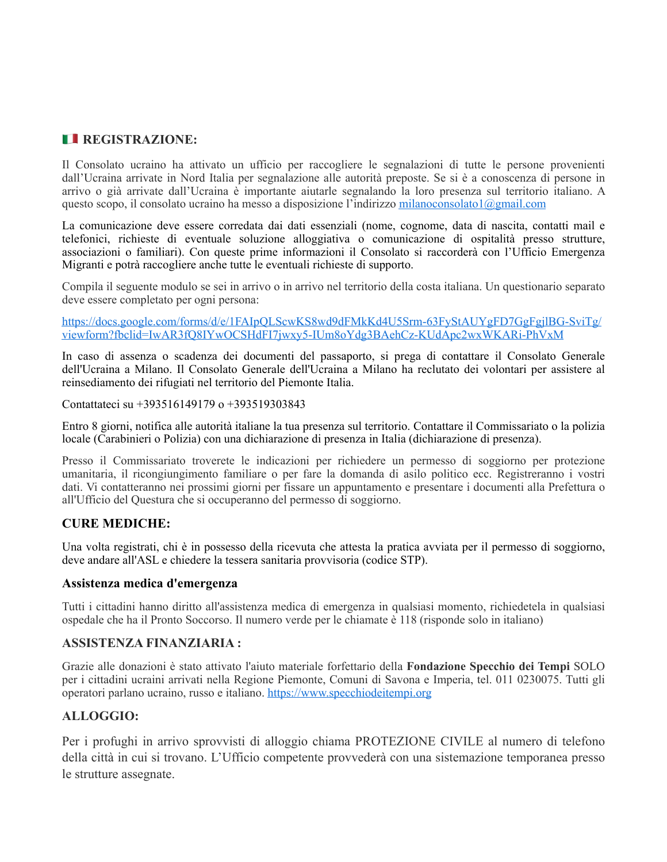## **EXECUTE REGISTRAZIONE:**

Il Consolato ucraino ha attivato un ufficio per raccogliere le segnalazioni di tutte le persone provenienti dall'Ucraina arrivate in Nord Italia per segnalazione alle autorità preposte. Se si è a conoscenza di persone in arrivo o già arrivate dall'Ucraina è importante aiutarle segnalando la loro presenza sul territorio italiano. A questo scopo, il consolato ucraino ha messo a disposizione l'indirizzo [milanoconsolato1@gmail.com](mailto:milanoconsolato1@gmail.com)

La comunicazione deve essere corredata dai dati essenziali (nome, cognome, data di nascita, contatti mail e telefonici, richieste di eventuale soluzione alloggiativa o comunicazione di ospitalità presso strutture, associazioni o familiari). Con queste prime informazioni il Consolato si raccorderà con l'Ufficio Emergenza Migranti e potrà raccogliere anche tutte le eventuali richieste di supporto.

Compila il seguente modulo se sei in arrivo o in arrivo nel territorio della costa italiana. Un questionario separato deve essere completato per ogni persona:

[https://docs.google.com/forms/d/e/1FAIpQLScwKS8wd9dFMkKd4U5Srm-63FyStAUYgFD7GgFgjlBG-SviTg/](https://urldefense.com/v3/__https:/docs.goo) [viewform?fbclid=IwAR3fQ8IYwOCSHdFI7jwxy5-IUm8oYdg3BAehCz-KUdApc2wxWKARi-PhVxM](https://urldefense.com/v3/__https:/docs.goo)

In caso di assenza o scadenza dei documenti del passaporto, si prega di contattare il Consolato Generale dell'Ucraina a Milano. Il Consolato Generale dell'Ucraina a Milano ha reclutato dei volontari per assistere al reinsediamento dei rifugiati nel territorio del Piemonte Italia.

Contattateci su +393516149179 o +393519303843

Entro 8 giorni, notifica alle autorità italiane la tua presenza sul territorio. Contattare il Commissariato o la polizia locale (Carabinieri o Polizia) con una dichiarazione di presenza in Italia (dichiarazione di presenza).

Presso il Commissariato troverete le indicazioni per richiedere un permesso di soggiorno per protezione umanitaria, il ricongiungimento familiare o per fare la domanda di asilo politico ecc. Registreranno i vostri dati. Vi contatteranno nei prossimi giorni per fissare un appuntamento e presentare i documenti alla Prefettura o all'Ufficio del Questura che si occuperanno del permesso di soggiorno.

## **CURE MEDICHE:**

Una volta registrati, chi è in possesso della ricevuta che attesta la pratica avviata per il permesso di soggiorno, deve andare all'ASL e chiedere la tessera sanitaria provvisoria (codice STP).

#### **Assistenza medica d'emergenza**

Tutti i cittadini hanno diritto all'assistenza medica di emergenza in qualsiasi momento, richiedetela in qualsiasi ospedale che ha il Pronto Soccorso. Il numero verde per le chiamate è 118 (risponde solo in italiano)

## **ASSISTENZA FINANZIARIA :**

Grazie alle donazioni è stato attivato l'aiuto materiale forfettario della **Fondazione Specchio dei Tempi** SOLO per i cittadini ucraini arrivati nella Regione Piemonte, Comuni di Savona e Imperia, tel. 011 0230075. Tutti gli operatori parlano ucraino, russo e italiano. [https://www.specchiodeitempi.org](https://urldefense.com/v3/__https:/www.specchiodeitempi.org__;!!OjemSMKBgg!yAy7Kc4dpQDtHKL8z2hSKnsYEyPh7aCmpiiV_AUdXI4M0NMqLdEBUnXRxdQmO7Y$%22%20%5Ct%20%22_blank)

## **ALLOGGIO:**

Per i profughi in arrivo sprovvisti di alloggio chiama PROTEZIONE CIVILE al numero di telefono della città in cui si trovano. L'Ufficio competente provvederà con una sistemazione temporanea presso le strutture assegnate.